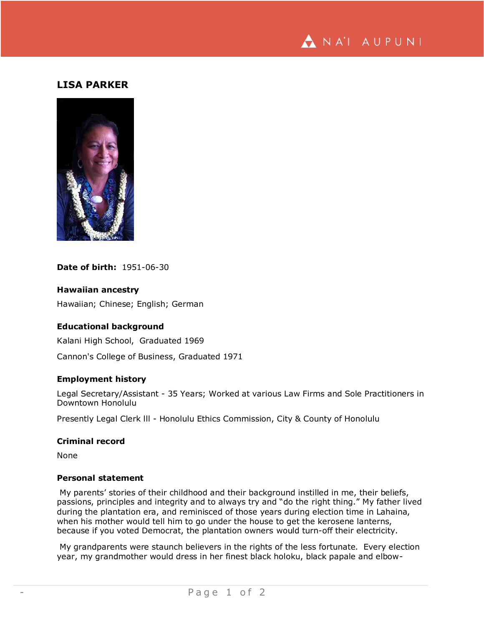

# **LISA PARKER**



### **Date of birth:** 1951-06-30

### **Hawaiian ancestry**

Hawaiian; Chinese; English; German

### **Educational background**

Kalani High School, Graduated 1969 Cannon's College of Business, Graduated 1971

## **Employment history**

Legal Secretary/Assistant - 35 Years; Worked at various Law Firms and Sole Practitioners in Downtown Honolulu

Presently Legal Clerk lll - Honolulu Ethics Commission, City & County of Honolulu

#### **Criminal record**

None

### **Personal statement**

My parents' stories of their childhood and their background instilled in me, their beliefs, passions, principles and integrity and to always try and "do the right thing." My father lived during the plantation era, and reminisced of those years during election time in Lahaina, when his mother would tell him to go under the house to get the kerosene lanterns, because if you voted Democrat, the plantation owners would turn-off their electricity.

My grandparents were staunch believers in the rights of the less fortunate. Every election year, my grandmother would dress in her finest black holoku, black papale and elbow